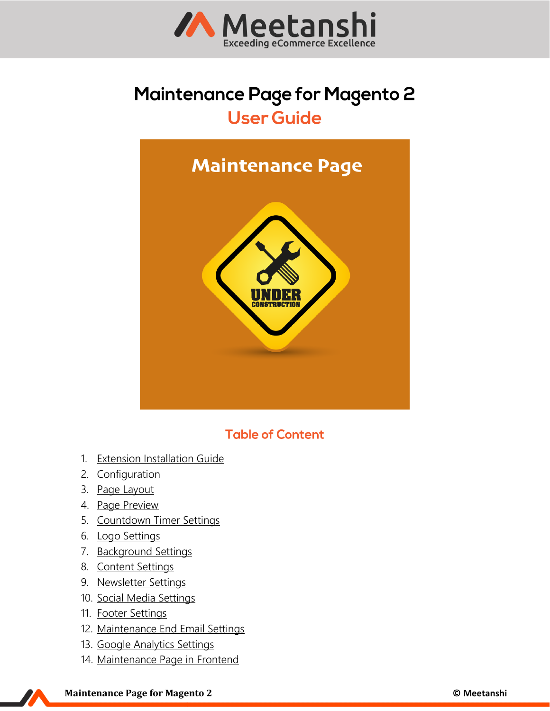

# **Maintenance Page for Magento 2 User Guide**



# **Table of Content**

- 1. [Extension Installation Guide](#page-1-0)
- 2. [Configuration](#page-1-1)
- 3. [Page Layout](#page-2-0)
- 4. [Page Preview](#page-2-1)
- 5. [Countdown Timer Settings](#page-2-2)
- 6. [Logo Settings](#page-3-0)
- 7. [Background Settings](#page-3-1)
- 8. [Content Settings](#page-4-0)
- 9. [Newsletter Settings](#page-4-1)
- 10. [Social Media Settings](#page-5-0)
- 11. [Footer Settings](#page-5-1)
- 12. [Maintenance End Email Settings](#page-6-0)
- 13. [Google Analytics Settings](#page-6-1)
- 14. [Maintenance Page](#page-7-0) in Frontend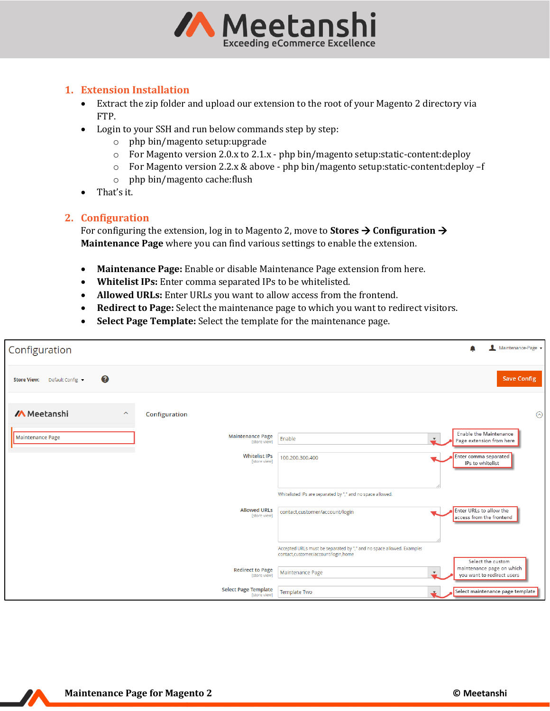

## <span id="page-1-0"></span>**1. Extension Installation**

- Extract the zip folder and upload our extension to the root of your Magento 2 directory via FTP.
- Login to your SSH and run below commands step by step:
	- o php bin/magento setup:upgrade
	- o For Magento version 2.0.x to 2.1.x php bin/magento setup:static-content:deploy
	- o For Magento version 2.2.x & above php bin/magento setup:static-content:deploy –f
	- o php bin/magento cache:flush
- That's it.

#### <span id="page-1-1"></span>**2. Configuration**

For configuring the extension, log in to Magento 2, move to **Stores** → **Configuration** → **Maintenance Page** where you can find various settings to enable the extension.

- **Maintenance Page:** Enable or disable Maintenance Page extension from here.
- **Whitelist IPs:** Enter comma separated IPs to be whitelisted.
- **Allowed URLs:** Enter URLs you want to allow access from the frontend.
- **Redirect to Page:** Select the maintenance page to which you want to redirect visitors.
- **Select Page Template:** Select the template for the maintenance page.

| Configuration                                                   | Maintenance-Page v                                                                                                                |
|-----------------------------------------------------------------|-----------------------------------------------------------------------------------------------------------------------------------|
| ℯ<br>Default Config v<br><b>Store View:</b>                     | <b>Save Config</b>                                                                                                                |
| <b>/A</b> Meetanshi<br>$\widehat{\phantom{a}}$<br>Configuration | $\odot$                                                                                                                           |
| <b>Maintenance Page</b><br>Maintenance Page<br>[store view]     | <b>Enable the Maintenance</b><br>Enable<br>$\boldsymbol{\mathrm{v}}$<br>Page extension from here                                  |
| <b>Whitelist IPs</b><br>[store view]                            | Enter comma separated<br>100.200.300.400<br>IPs to whitelist                                                                      |
|                                                                 | Whitelisted IPs are separated by "," and no space allowed.                                                                        |
| <b>Allowed URLs</b><br>[store view]                             | Enter URLs to allow the<br>contact,customer/account/login<br>access from the frontend                                             |
|                                                                 | Accepted URLs must be separated by "," and no space allowed. Example:<br>contact,customer/account/login,home<br>Select the custom |
| <b>Redirect to Page</b><br>[store view]                         | maintenance page on which<br>Maintenance Page<br>$\boldsymbol{\mathrm{v}}$<br>you want to redirect users                          |
| <b>Select Page Template</b><br>[store view]                     | Select maintenance page template<br>Template Two                                                                                  |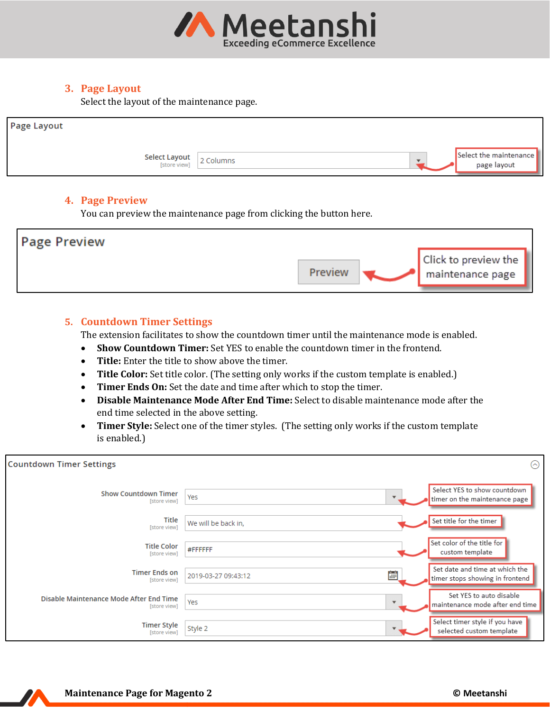

# <span id="page-2-0"></span>**3. Page Layout**

Select the layout of the maintenance page.

| Page Layout                          |           |                                       |
|--------------------------------------|-----------|---------------------------------------|
| <b>Select Layout</b><br>[store view] | 2 Columns | Select the maintenance<br>page layout |

#### <span id="page-2-1"></span>**4. Page Preview**

You can preview the maintenance page from clicking the button here.



#### <span id="page-2-2"></span>**5. Countdown Timer Settings**

The extension facilitates to show the countdown timer until the maintenance mode is enabled.

- **Show Countdown Timer:** Set YES to enable the countdown timer in the frontend.
- **Title:** Enter the title to show above the timer.
- **Title Color:** Set title color. (The setting only works if the custom template is enabled.)
- **Timer Ends On:** Set the date and time after which to stop the timer.
- **Disable Maintenance Mode After End Time:** Select to disable maintenance mode after the end time selected in the above setting.
- **Timer Style:** Select one of the timer styles. (The setting only works if the custom template is enabled.)

| <b>Countdown Timer Settings</b>                         |                                 | ⊙                                                                 |
|---------------------------------------------------------|---------------------------------|-------------------------------------------------------------------|
| <b>Show Countdown Timer</b><br>[store view]             | Yes<br>$\overline{\phantom{a}}$ | Select YES to show countdown<br>timer on the maintenance page     |
| Title<br>[store view]                                   | We will be back in,             | Set title for the timer                                           |
| <b>Title Color</b><br>[store view]                      | #FFFFFF                         | Set color of the title for<br>custom template                     |
| <b>Timer Ends on</b><br>[store view]                    | 鷗<br>2019-03-27 09:43:12        | Set date and time at which the<br>timer stops showing in frontend |
| Disable Maintenance Mode After End Time<br>[store view] | Yes<br>$\overline{\phantom{a}}$ | Set YES to auto disable<br>maintenance mode after end time        |
| Timer Style<br>[store view]                             | Style 2                         | Select timer style if you have<br>selected custom template        |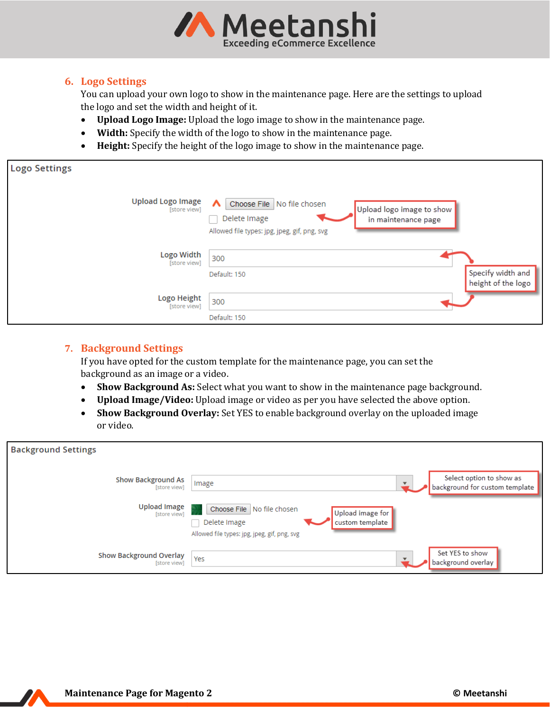

# <span id="page-3-0"></span>**6. Logo Settings**

You can upload your own logo to show in the maintenance page. Here are the settings to upload the logo and set the width and height of it.

- **Upload Logo Image:** Upload the logo image to show in the maintenance page.
- **Width:** Specify the width of the logo to show in the maintenance page.
- **Height:** Specify the height of the logo image to show in the maintenance page.

| <b>Logo Settings</b>                     |                                                                                                                                                             |                                         |
|------------------------------------------|-------------------------------------------------------------------------------------------------------------------------------------------------------------|-----------------------------------------|
| <b>Upload Logo Image</b><br>[store view] | Choose File No file chosen<br>$\lambda$<br>Upload logo image to show<br>Delete Image<br>in maintenance page<br>Allowed file types: jpg, jpeg, gif, png, svg |                                         |
| Logo Width<br>[store view]               | 300<br>Default: 150                                                                                                                                         | Specify width and<br>height of the logo |
| Logo Height<br>[store view]              | 300<br>Default: 150                                                                                                                                         |                                         |

# <span id="page-3-1"></span>**7. Background Settings**

If you have opted for the custom template for the maintenance page, you can set the background as an image or a video.

- **Show Background As:** Select what you want to show in the maintenance page background.
- **Upload Image/Video:** Upload image or video as per you have selected the above option.
- **Show Background Overlay:** Set YES to enable background overlay on the uploaded image or video.

| <b>Background Settings</b>                     |                                                                                                                                   |
|------------------------------------------------|-----------------------------------------------------------------------------------------------------------------------------------|
| <b>Show Background As</b><br>[store view]      | Select option to show as<br>Image<br>background for custom template                                                               |
| <b>Upload Image</b><br>[store view]            | Choose File No file chosen<br>Upload image for<br>Delete Image<br>custom template<br>Allowed file types: jpg, jpeg, gif, png, svg |
| <b>Show Background Overlay</b><br>[store view] | Set YES to show<br>Yes<br>background overlay                                                                                      |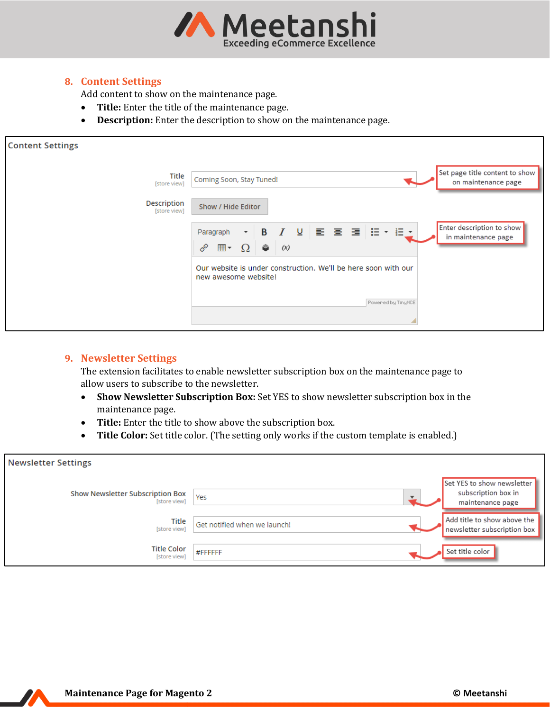

## <span id="page-4-0"></span>**8. Content Settings**

Add content to show on the maintenance page.

- **Title:** Enter the title of the maintenance page.
- **Description:** Enter the description to show on the maintenance page.

| <b>Content Settings</b>            |                                                                                                                                                                                                                                                                                                    |
|------------------------------------|----------------------------------------------------------------------------------------------------------------------------------------------------------------------------------------------------------------------------------------------------------------------------------------------------|
| Title<br>[store view]              | Set page title content to show<br>Coming Soon, Stay Tuned!<br>on maintenance page                                                                                                                                                                                                                  |
| <b>Description</b><br>[store view] | Show / Hide Editor                                                                                                                                                                                                                                                                                 |
|                                    | Enter description to show<br>$\mathbf{v} \quad \mathbf{B} \quad I \quad \mathbf{U} \quad \mathbf{E} \quad \mathbf{E} \quad \mathbf{H} \quad \mathbf{H} \quad \mathbf{F} \quad \mathbf{V} \quad \mathbf{F} \quad \mathbf{V}$<br>Paragraph<br>in maintenance page<br>◈<br>P<br>⊞▼<br>$\Omega$<br>(x) |
|                                    | Our website is under construction. We'll be here soon with our<br>new awesome website!                                                                                                                                                                                                             |
|                                    | Powered by TinyMCE                                                                                                                                                                                                                                                                                 |
|                                    |                                                                                                                                                                                                                                                                                                    |

## <span id="page-4-1"></span>**9. Newsletter Settings**

The extension facilitates to enable newsletter subscription box on the maintenance page to allow users to subscribe to the newsletter.

- **Show Newsletter Subscription Box:** Set YES to show newsletter subscription box in the maintenance page.
- **Title:** Enter the title to show above the subscription box.
- **Title Color:** Set title color. (The setting only works if the custom template is enabled.)

| <b>Newsletter Settings</b>                       |                              |                                                                       |
|--------------------------------------------------|------------------------------|-----------------------------------------------------------------------|
| Show Newsletter Subscription Box<br>[store view] | Yes                          | Set YES to show newsletter<br>subscription box in<br>maintenance page |
| Title<br>[store view]                            | Get notified when we launch! | Add title to show above the<br>newsletter subscription box            |
| <b>Title Color</b><br>[store view]               | #FFFFFF                      | Set title color                                                       |

Z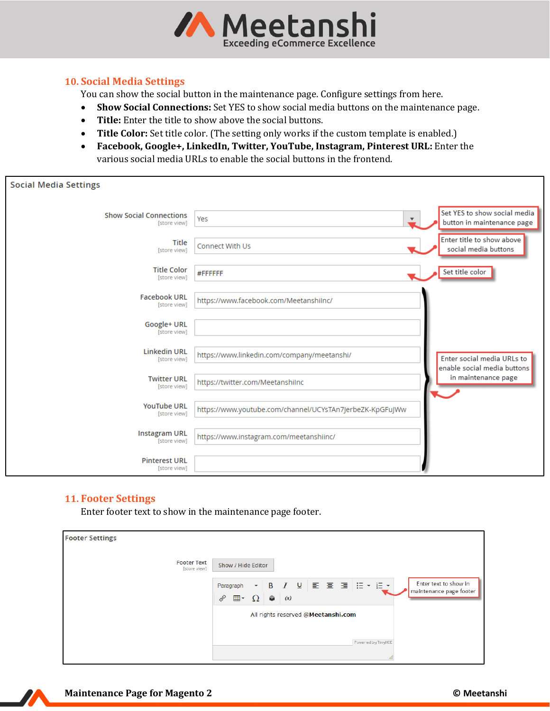

## <span id="page-5-0"></span>**10. Social Media Settings**

You can show the social button in the maintenance page. Configure settings from here.

- **Show Social Connections:** Set YES to show social media buttons on the maintenance page.
- **Title:** Enter the title to show above the social buttons.
- **Title Color:** Set title color. (The setting only works if the custom template is enabled.)
- **Facebook, Google+, LinkedIn, Twitter, YouTube, Instagram, Pinterest URL:** Enter the various social media URLs to enable the social buttons in the frontend.

| <b>Social Media Settings</b>                   |                                                          |                                                            |
|------------------------------------------------|----------------------------------------------------------|------------------------------------------------------------|
| <b>Show Social Connections</b><br>[store view] | Yes<br>$\blacktriangledown$                              | Set YES to show social media<br>button in maintenance page |
| Title<br>[store view]                          | Connect With Us                                          | Enter title to show above<br>social media buttons          |
| <b>Title Color</b><br>[store view]             | #FFFFFF                                                  | Set title color                                            |
| <b>Facebook URL</b><br>[store view]            | https://www.facebook.com/MeetanshiInc/                   |                                                            |
| Google+ URL<br>[store view]                    |                                                          |                                                            |
| <b>Linkedin URL</b><br>[store view]            | https://www.linkedin.com/company/meetanshi/              | Enter social media URLs to<br>enable social media buttons  |
| <b>Twitter URL</b><br>[store view]             | https://twitter.com/MeetanshiInc                         | in maintenance page                                        |
| <b>YouTube URL</b><br>[store view]             | https://www.youtube.com/channel/UCYsTAn7JerbeZK-KpGFuJWw |                                                            |
| <b>Instagram URL</b><br>[store view]           | https://www.instagram.com/meetanshiinc/                  |                                                            |
| <b>Pinterest URL</b><br>[store view]           |                                                          |                                                            |

# <span id="page-5-1"></span>**11. Footer Settings**

Enter footer text to show in the maintenance page footer.

| <b>Footer Settings</b>             |                                                                                                                                                                                                                                                                             |
|------------------------------------|-----------------------------------------------------------------------------------------------------------------------------------------------------------------------------------------------------------------------------------------------------------------------------|
| <b>Footer Text</b><br>[store view] | Show / Hide Editor                                                                                                                                                                                                                                                          |
|                                    | Enter text to show in<br>$\mathbf{v} \parallel \mathbf{B} \parallel I \parallel \mathbf{U} \parallel \mathbf{E} \parallel \mathbf{E} \parallel \mathbf{H} \parallel \mathbf{H} \parallel \mathbf{v} \parallel \mathbf{H} \parallel$<br>Paragraph<br>maintenance page footer |
|                                    | ℰ<br>$\bullet$<br>$\mathbb{H}$ $\cdot$ $\Omega$<br>(x)                                                                                                                                                                                                                      |
|                                    | All rights reserved @Meetanshi.com                                                                                                                                                                                                                                          |
|                                    |                                                                                                                                                                                                                                                                             |
|                                    | Powered by TinyMCE                                                                                                                                                                                                                                                          |
|                                    |                                                                                                                                                                                                                                                                             |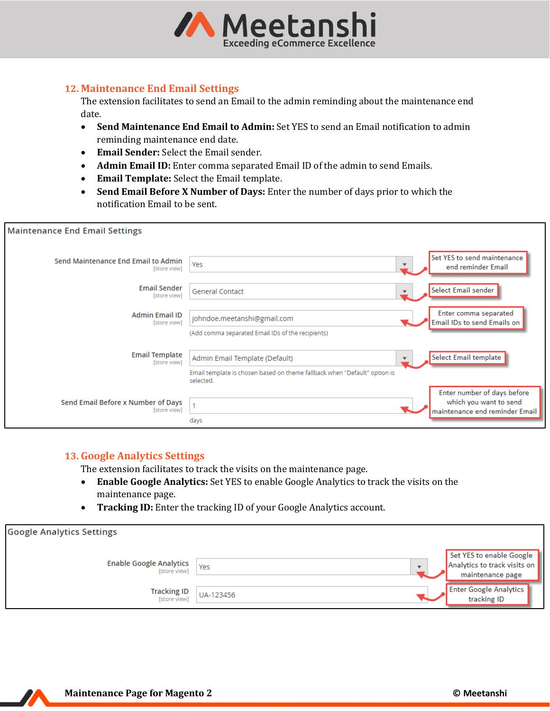

#### <span id="page-6-0"></span>**12. Maintenance End Email Settings**

The extension facilitates to send an Email to the admin reminding about the maintenance end date.

- **Send Maintenance End Email to Admin:** Set YES to send an Email notification to admin reminding maintenance end date.
- **Email Sender:** Select the Email sender.
- **Admin Email ID:** Enter comma separated Email ID of the admin to send Emails.
- **Email Template:** Select the Email template.
- **Send Email Before X Number of Days:** Enter the number of days prior to which the notification Email to be sent.

| <b>Maintenance End Email Settings</b>               |                                                                                                                          |                                                                                         |
|-----------------------------------------------------|--------------------------------------------------------------------------------------------------------------------------|-----------------------------------------------------------------------------------------|
| Send Maintenance End Email to Admin<br>[store view] | Yes                                                                                                                      | Set YES to send maintenance<br>end reminder Email                                       |
| <b>Email Sender</b><br>[store view]                 | General Contact                                                                                                          | Select Email sender                                                                     |
| <b>Admin Email ID</b><br>[store view]               | johndoe.meetanshi@gmail.com<br>(Add comma separated Email IDs of the recipients)                                         | Enter comma separated<br>Email IDs to send Emails on                                    |
| <b>Email Template</b><br>[store view]               | Admin Email Template (Default)<br>Email template is chosen based on theme fallback when "Default" option is<br>selected. | Select Email template                                                                   |
| Send Email Before x Number of Days<br>[store view]  | days                                                                                                                     | Enter number of days before<br>which you want to send<br>maintenance end reminder Email |

#### <span id="page-6-1"></span>**13. Google Analytics Settings**

The extension facilitates to track the visits on the maintenance page.

- **Enable Google Analytics:** Set YES to enable Google Analytics to track the visits on the maintenance page.
- **Tracking ID:** Enter the tracking ID of your Google Analytics account.

| <b>Google Analytics Settings</b>               |           |                          |                                                                              |
|------------------------------------------------|-----------|--------------------------|------------------------------------------------------------------------------|
| <b>Enable Google Analytics</b><br>[store view] | Yes       | $\overline{\phantom{a}}$ | Set YES to enable Google<br>Analytics to track visits on<br>maintenance page |
| <b>Tracking ID</b><br>[store view]             | UA-123456 |                          | Enter Google Analytics<br>tracking ID                                        |

Z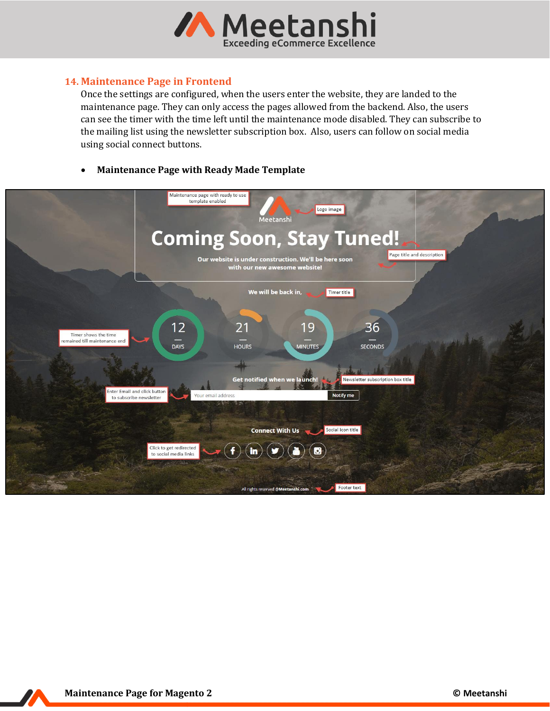

#### <span id="page-7-0"></span>**14. Maintenance Page in Frontend**

Once the settings are configured, when the users enter the website, they are landed to the maintenance page. They can only access the pages allowed from the backend. Also, the users can see the timer with the time left until the maintenance mode disabled. They can subscribe to the mailing list using the newsletter subscription box. Also, users can follow on social media using social connect buttons.

#### • **Maintenance Page with Ready Made Template**

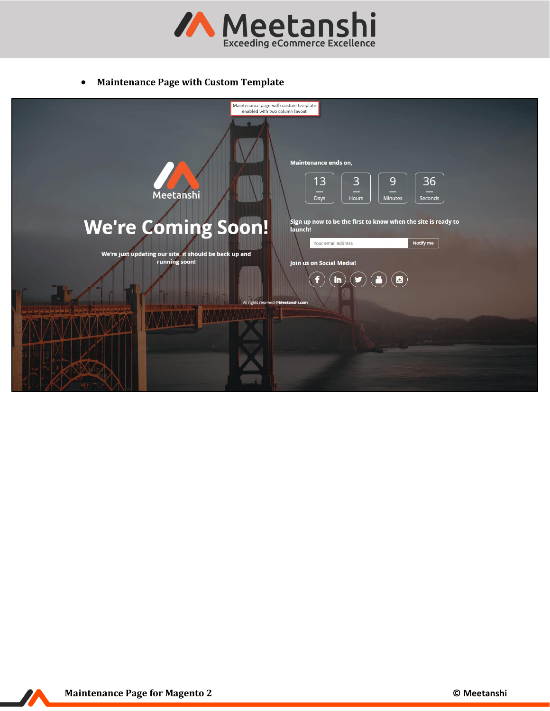

• **Maintenance Page with Custom Template**



7